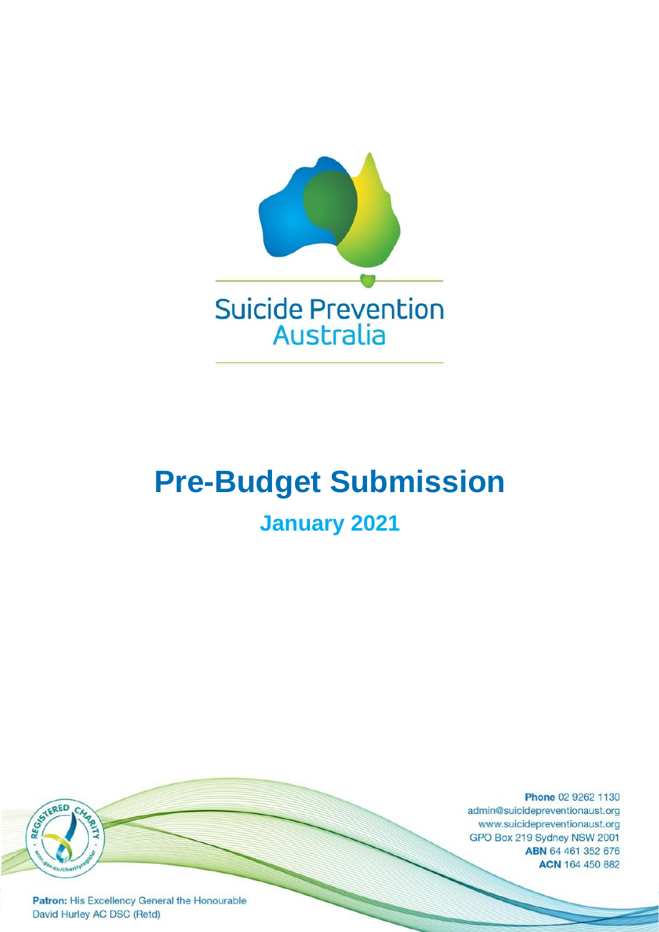

# **Pre-Budget Submission**

# **January 2021**

Phone 02 9262 1130 admin@suicidepreventionaust.org www.suicidepreventionaust.org GPO Box 219 Sydney NSW 2001 ABN 64 461 352 676 ACN 164 450 882

Patron: His Excellency General the Honourable David Hurley AC DSC (Retd)

REGISTERED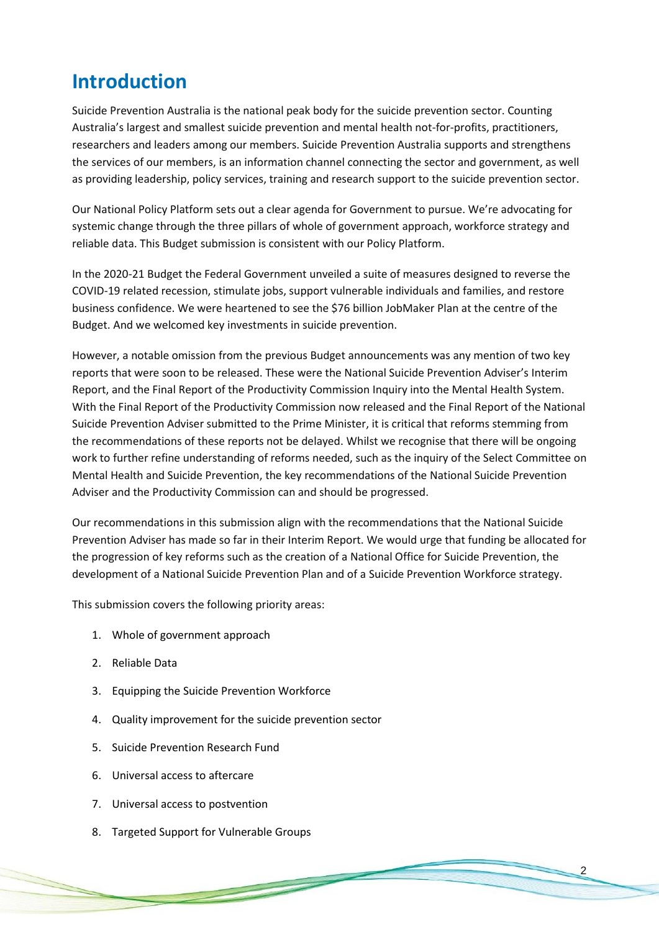### **Introduction**

Suicide Prevention Australia is the national peak body for the suicide prevention sector. Counting Australia's largest and smallest suicide prevention and mental health not-for-profits, practitioners, researchers and leaders among our members. Suicide Prevention Australia supports and strengthens the services of our members, is an information channel connecting the sector and government, as well as providing leadership, policy services, training and research support to the suicide prevention sector.

Our National Policy Platform sets out a clear agenda for Government to pursue. We're advocating for systemic change through the three pillars of whole of government approach, workforce strategy and reliable data. This Budget submission is consistent with our Policy Platform.

In the 2020-21 Budget the Federal Government unveiled a suite of measures designed to reverse the COVID-19 related recession, stimulate jobs, support vulnerable individuals and families, and restore business confidence. We were heartened to see the \$76 billion JobMaker Plan at the centre of the Budget. And we welcomed key investments in suicide prevention.

However, a notable omission from the previous Budget announcements was any mention of two key reports that were soon to be released. These were the National Suicide Prevention Adviser's Interim Report, and the Final Report of the Productivity Commission Inquiry into the Mental Health System. With the Final Report of the Productivity Commission now released and the Final Report of the National Suicide Prevention Adviser submitted to the Prime Minister, it is critical that reforms stemming from the recommendations of these reports not be delayed. Whilst we recognise that there will be ongoing work to further refine understanding of reforms needed, such as the inquiry of the Select Committee on Mental Health and Suicide Prevention, the key recommendations of the National Suicide Prevention Adviser and the Productivity Commission can and should be progressed.

Our recommendations in this submission align with the recommendations that the National Suicide Prevention Adviser has made so far in their Interim Report. We would urge that funding be allocated for the progression of key reforms such as the creation of a National Office for Suicide Prevention, the development of a National Suicide Prevention Plan and of a Suicide Prevention Workforce strategy.

 $\mathcal{P}$ 

This submission covers the following priority areas:

- 1. Whole of government approach
- 2. Reliable Data
- 3. Equipping the Suicide Prevention Workforce
- 4. Quality improvement for the suicide prevention sector

- 5. Suicide Prevention Research Fund
- 6. Universal access to aftercare
- 7. Universal access to postvention
- 8. Targeted Support for Vulnerable Groups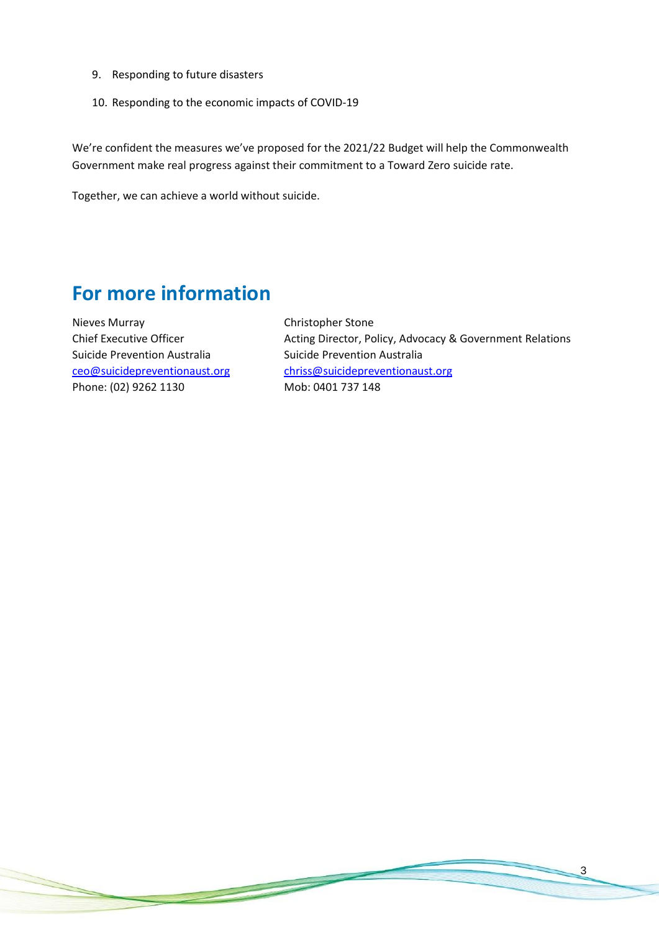- 9. Responding to future disasters
- 10. Responding to the economic impacts of COVID-19

We're confident the measures we've proposed for the 2021/22 Budget will help the Commonwealth Government make real progress against their commitment to a Toward Zero suicide rate.

Together, we can achieve a world without suicide.

### **For more information**

Nieves Murray Chief Executive Officer Suicide Prevention Australia [ceo@suicidepreventionaust.org](mailto:ceo@suicidepreventionaust.org) Phone: (02) 9262 1130

Christopher Stone Acting Director, Policy, Advocacy & Government Relations Suicide Prevention Australia [chriss@suicidepreventionaust.org](mailto:chriss@suicidepreventionaust.org) Mob: 0401 737 148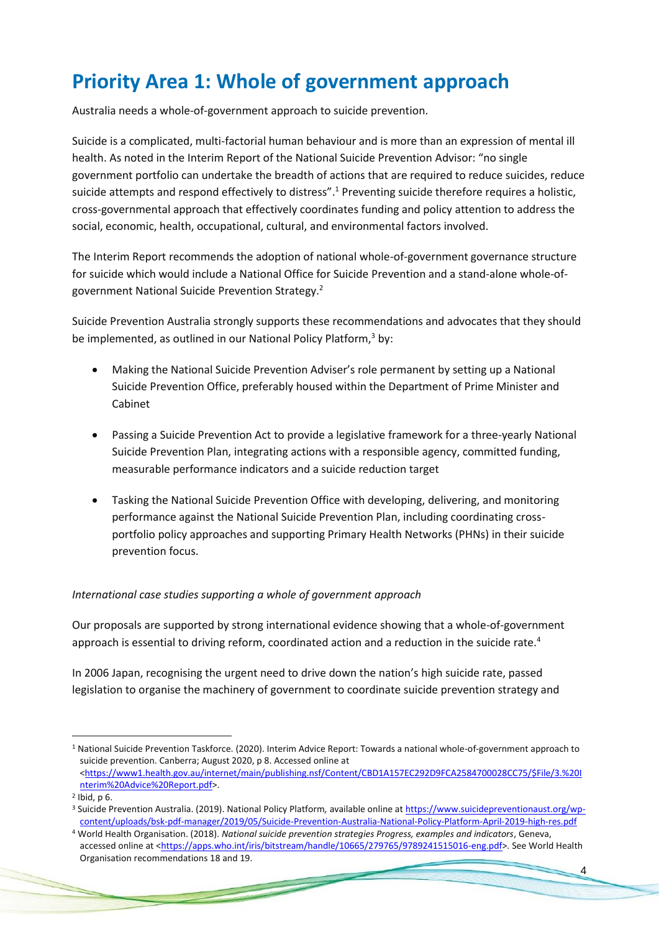### **Priority Area 1: Whole of government approach**

Australia needs a whole-of-government approach to suicide prevention.

Suicide is a complicated, multi-factorial human behaviour and is more than an expression of mental ill health. As noted in the Interim Report of the National Suicide Prevention Advisor: "no single government portfolio can undertake the breadth of actions that are required to reduce suicides, reduce suicide attempts and respond effectively to distress".<sup>1</sup> Preventing suicide therefore requires a holistic, cross-governmental approach that effectively coordinates funding and policy attention to address the social, economic, health, occupational, cultural, and environmental factors involved.

The Interim Report recommends the adoption of national whole-of-government governance structure for suicide which would include a National Office for Suicide Prevention and a stand-alone whole-ofgovernment National Suicide Prevention Strategy.<sup>2</sup>

Suicide Prevention Australia strongly supports these recommendations and advocates that they should be implemented, as outlined in our National Policy Platform,<sup>3</sup> by:

- Making the National Suicide Prevention Adviser's role permanent by setting up a National Suicide Prevention Office, preferably housed within the Department of Prime Minister and Cabinet
- Passing a Suicide Prevention Act to provide a legislative framework for a three-yearly National Suicide Prevention Plan, integrating actions with a responsible agency, committed funding, measurable performance indicators and a suicide reduction target
- Tasking the National Suicide Prevention Office with developing, delivering, and monitoring performance against the National Suicide Prevention Plan, including coordinating crossportfolio policy approaches and supporting Primary Health Networks (PHNs) in their suicide prevention focus.

#### *International case studies supporting a whole of government approach*

Our proposals are supported by strong international evidence showing that a whole-of-government approach is essential to driving reform, coordinated action and a reduction in the suicide rate.<sup>4</sup>

In 2006 Japan, recognising the urgent need to drive down the nation's high suicide rate, passed legislation to organise the machinery of government to coordinate suicide prevention strategy and

<sup>1</sup> National Suicide Prevention Taskforce. (2020). Interim Advice Report: Towards a national whole-of-government approach to suicide prevention. Canberra; August 2020, p 8. Accessed online at [<https://www1.health.gov.au/internet/main/publishing.nsf/Content/CBD1A157EC292D9FCA2584700028CC75/\\$File/3.%20I](https://www1.health.gov.au/internet/main/publishing.nsf/Content/CBD1A157EC292D9FCA2584700028CC75/$File/3.%20Interim%20Advice%20Report.pdf) [nterim%20Advice%20Report.pdf>](https://www1.health.gov.au/internet/main/publishing.nsf/Content/CBD1A157EC292D9FCA2584700028CC75/$File/3.%20Interim%20Advice%20Report.pdf).

<sup>2</sup> Ibid, p 6.

<sup>3</sup> Suicide Prevention Australia. (2019). National Policy Platform*,* available online a[t https://www.suicidepreventionaust.org/wp](https://www.suicidepreventionaust.org/wp-content/uploads/bsk-pdf-manager/2019/05/Suicide-Prevention-Australia-National-Policy-Platform-April-2019-high-res.pdf)[content/uploads/bsk-pdf-manager/2019/05/Suicide-Prevention-Australia-National-Policy-Platform-April-2019-high-res.pdf](https://www.suicidepreventionaust.org/wp-content/uploads/bsk-pdf-manager/2019/05/Suicide-Prevention-Australia-National-Policy-Platform-April-2019-high-res.pdf)

<sup>4</sup> World Health Organisation. (2018). *National suicide prevention strategies Progress, examples and indicators*, Geneva, accessed online at [<https://apps.who.int/iris/bitstream/handle/10665/279765/9789241515016-eng.pdf>](https://apps.who.int/iris/bitstream/handle/10665/279765/9789241515016-eng.pdf). See World Health Organisation recommendations 18 and 19.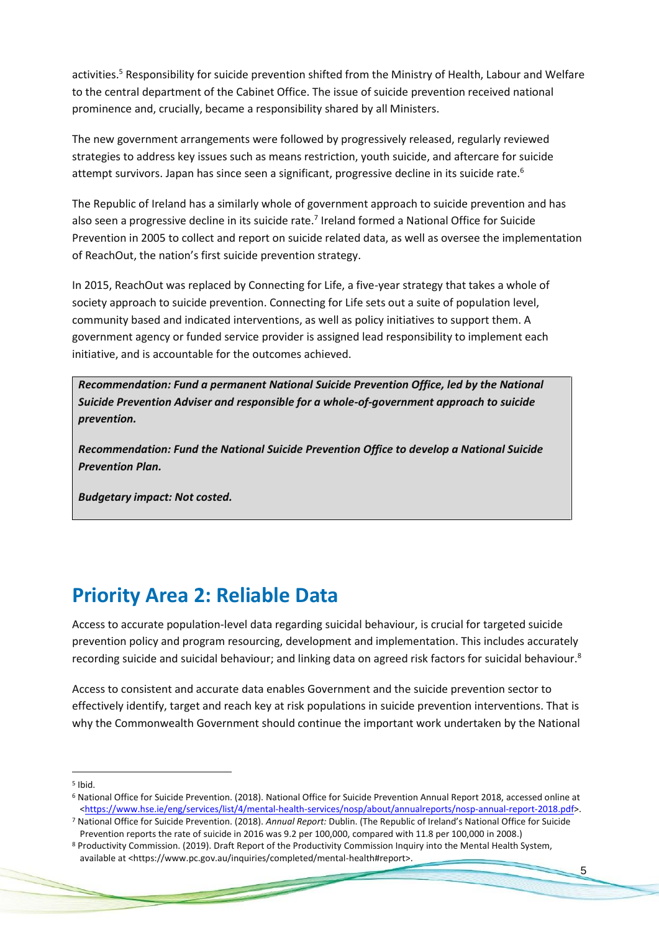activities.<sup>5</sup> Responsibility for suicide prevention shifted from the Ministry of Health, Labour and Welfare to the central department of the Cabinet Office. The issue of suicide prevention received national prominence and, crucially, became a responsibility shared by all Ministers.

The new government arrangements were followed by progressively released, regularly reviewed strategies to address key issues such as means restriction, youth suicide, and aftercare for suicide attempt survivors. Japan has since seen a significant, progressive decline in its suicide rate.<sup>6</sup>

The Republic of Ireland has a similarly whole of government approach to suicide prevention and has also seen a progressive decline in its suicide rate.<sup>7</sup> Ireland formed a National Office for Suicide Prevention in 2005 to collect and report on suicide related data, as well as oversee the implementation of ReachOut, the nation's first suicide prevention strategy.

In 2015, ReachOut was replaced by Connecting for Life, a five-year strategy that takes a whole of society approach to suicide prevention. Connecting for Life sets out a suite of population level, community based and indicated interventions, as well as policy initiatives to support them. A government agency or funded service provider is assigned lead responsibility to implement each initiative, and is accountable for the outcomes achieved.

*Recommendation: Fund a permanent National Suicide Prevention Office, led by the National Suicide Prevention Adviser and responsible for a whole-of-government approach to suicide prevention.* 

*Recommendation: Fund the National Suicide Prevention Office to develop a National Suicide Prevention Plan.*

*Budgetary impact: Not costed.* 

### **Priority Area 2: Reliable Data**

Access to accurate population-level data regarding suicidal behaviour, is crucial for targeted suicide prevention policy and program resourcing, development and implementation. This includes accurately recording suicide and suicidal behaviour; and linking data on agreed risk factors for suicidal behaviour.<sup>8</sup>

Access to consistent and accurate data enables Government and the suicide prevention sector to effectively identify, target and reach key at risk populations in suicide prevention interventions. That is why the Commonwealth Government should continue the important work undertaken by the National

5 Ibid.

<sup>6</sup> National Office for Suicide Prevention. (2018). National Office for Suicide Prevention Annual Report 2018, accessed online at [<https://www.hse.ie/eng/services/list/4/mental-health-services/nosp/about/annualreports/nosp-annual-report-2018.pdf>](https://www.hse.ie/eng/services/list/4/mental-health-services/nosp/about/annualreports/nosp-annual-report-2018.pdf).

<sup>7</sup> National Office for Suicide Prevention. (2018). *Annual Report:* Dublin. (The Republic of Ireland's National Office for Suicide Prevention reports the rate of suicide in 2016 was 9.2 per 100,000, compared with 11.8 per 100,000 in 2008.)

<sup>8</sup> Productivity Commission. (2019). Draft Report of the Productivity Commission Inquiry into the Mental Health System, available at <https://www.pc.gov.au/inquiries/completed/mental-health#report>.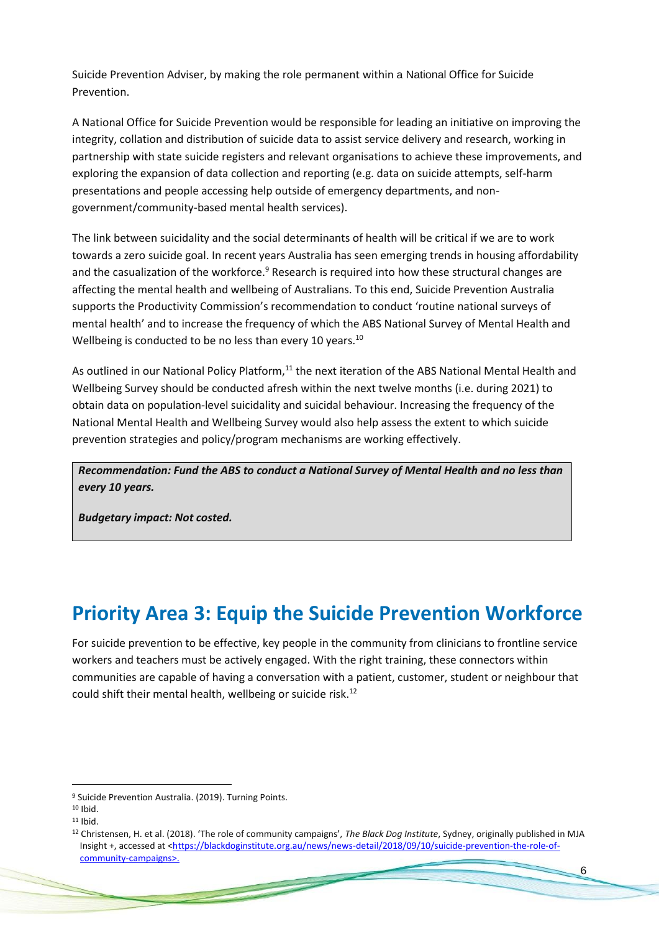Suicide Prevention Adviser, by making the role permanent within a National Office for Suicide Prevention.

A National Office for Suicide Prevention would be responsible for leading an initiative on improving the integrity, collation and distribution of suicide data to assist service delivery and research, working in partnership with state suicide registers and relevant organisations to achieve these improvements, and exploring the expansion of data collection and reporting (e.g. data on suicide attempts, self-harm presentations and people accessing help outside of emergency departments, and nongovernment/community-based mental health services).

The link between suicidality and the social determinants of health will be critical if we are to work towards a zero suicide goal. In recent years Australia has seen emerging trends in housing affordability and the casualization of the workforce.<sup>9</sup> Research is required into how these structural changes are affecting the mental health and wellbeing of Australians. To this end, Suicide Prevention Australia supports the Productivity Commission's recommendation to conduct 'routine national surveys of mental health' and to increase the frequency of which the ABS National Survey of Mental Health and Wellbeing is conducted to be no less than every 10 years.<sup>10</sup>

As outlined in our National Policy Platform,<sup>11</sup> the next iteration of the ABS National Mental Health and Wellbeing Survey should be conducted afresh within the next twelve months (i.e. during 2021) to obtain data on population-level suicidality and suicidal behaviour. Increasing the frequency of the National Mental Health and Wellbeing Survey would also help assess the extent to which suicide prevention strategies and policy/program mechanisms are working effectively.

*Recommendation: Fund the ABS to conduct a National Survey of Mental Health and no less than every 10 years.*

*Budgetary impact: Not costed.* 

### **Priority Area 3: Equip the Suicide Prevention Workforce**

For suicide prevention to be effective, key people in the community from clinicians to frontline service workers and teachers must be actively engaged. With the right training, these connectors within communities are capable of having a conversation with a patient, customer, student or neighbour that could shift their mental health, wellbeing or suicide risk.<sup>12</sup>

<sup>9</sup> Suicide Prevention Australia. (2019). Turning Points.

<sup>10</sup> Ibid.

<sup>11</sup> Ibid.

<sup>12</sup> Christensen, H. et al. (2018). 'The role of community campaigns', *The Black Dog Institute*, Sydney, originally published in MJA Insight +, accessed at [<https://blackdoginstitute.org.au/news/news-detail/2018/09/10/suicide-prevention-the-role-of](https://blackdoginstitute.org.au/news/news-detail/2018/09/10/suicide-prevention-the-role-of-community-campaigns)[community-campaigns>](https://blackdoginstitute.org.au/news/news-detail/2018/09/10/suicide-prevention-the-role-of-community-campaigns).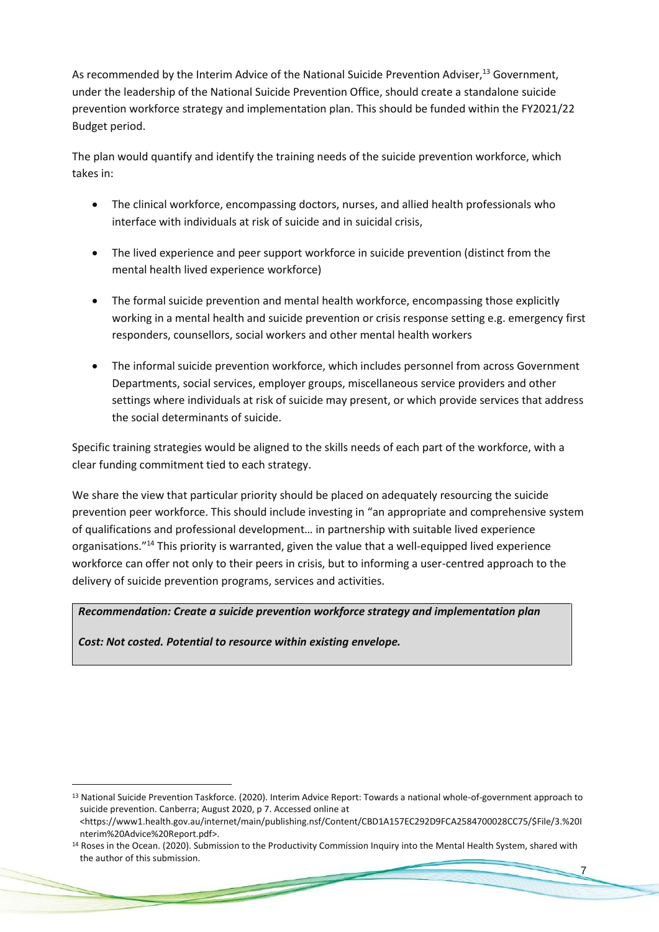As recommended by the Interim Advice of the National Suicide Prevention Adviser,<sup>13</sup> Government, under the leadership of the National Suicide Prevention Office, should create a standalone suicide prevention workforce strategy and implementation plan. This should be funded within the FY2021/22 Budget period.

The plan would quantify and identify the training needs of the suicide prevention workforce, which takes in:

- The clinical workforce, encompassing doctors, nurses, and allied health professionals who interface with individuals at risk of suicide and in suicidal crisis,
- The lived experience and peer support workforce in suicide prevention (distinct from the mental health lived experience workforce)
- The formal suicide prevention and mental health workforce, encompassing those explicitly working in a mental health and suicide prevention or crisis response setting e.g. emergency first responders, counsellors, social workers and other mental health workers
- The informal suicide prevention workforce, which includes personnel from across Government Departments, social services, employer groups, miscellaneous service providers and other settings where individuals at risk of suicide may present, or which provide services that address the social determinants of suicide.

Specific training strategies would be aligned to the skills needs of each part of the workforce, with a clear funding commitment tied to each strategy.

We share the view that particular priority should be placed on adequately resourcing the suicide prevention peer workforce. This should include investing in "an appropriate and comprehensive system of qualifications and professional development… in partnership with suitable lived experience organisations."<sup>14</sup> This priority is warranted, given the value that a well-equipped lived experience workforce can offer not only to their peers in crisis, but to informing a user-centred approach to the delivery of suicide prevention programs, services and activities.

#### *Recommendation: Create a suicide prevention workforce strategy and implementation plan*

*Cost: Not costed. Potential to resource within existing envelope.*

and the company's state of the company's

<sup>13</sup> National Suicide Prevention Taskforce. (2020). Interim Advice Report: Towards a national whole-of-government approach to suicide prevention. Canberra; August 2020, p 7. Accessed online at <https://www1.health.gov.au/internet/main/publishing.nsf/Content/CBD1A157EC292D9FCA2584700028CC75/\$File/3.%20I nterim%20Advice%20Report.pdf>.

<sup>&</sup>lt;sup>14</sup> Roses in the Ocean. (2020). Submission to the Productivity Commission Inquiry into the Mental Health System, shared with the author of this submission.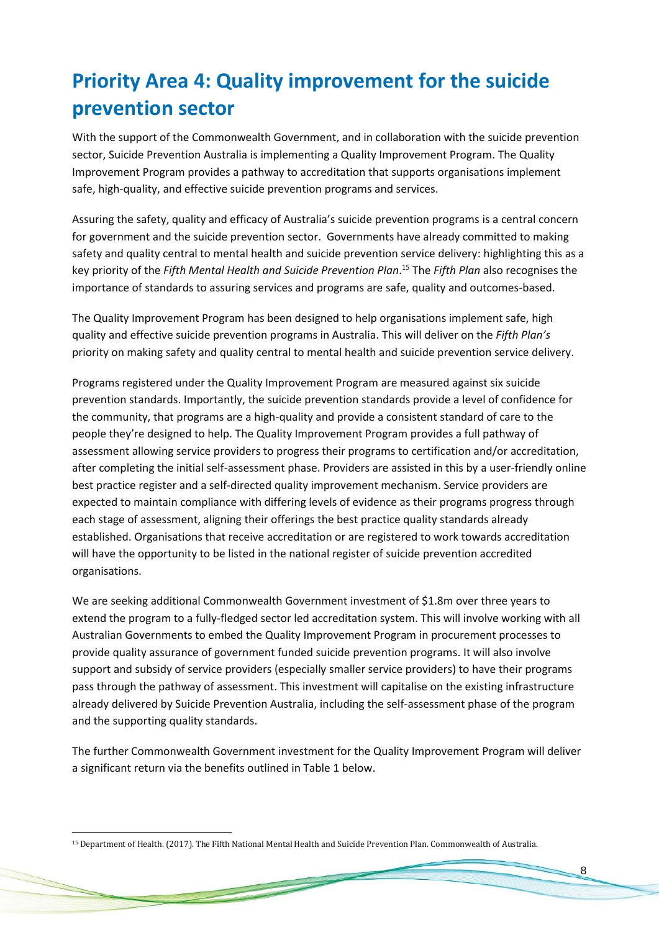# **Priority Area 4: Quality improvement for the suicide prevention sector**

With the support of the Commonwealth Government, and in collaboration with the suicide prevention sector, Suicide Prevention Australia is implementing a Quality Improvement Program. The Quality Improvement Program provides a pathway to accreditation that supports organisations implement safe, high-quality, and effective suicide prevention programs and services.

Assuring the safety, quality and efficacy of Australia's suicide prevention programs is a central concern for government and the suicide prevention sector. Governments have already committed to making safety and quality central to mental health and suicide prevention service delivery: highlighting this as a key priority of the *Fifth Mental Health and Suicide Prevention Plan*. <sup>15</sup> The *Fifth Plan* also recognises the importance of standards to assuring services and programs are safe, quality and outcomes-based.

The Quality Improvement Program has been designed to help organisations implement safe, high quality and effective suicide prevention programs in Australia. This will deliver on the *Fifth Plan's*  priority on making safety and quality central to mental health and suicide prevention service delivery.

Programs registered under the Quality Improvement Program are measured against six suicide prevention standards. Importantly, the suicide prevention standards provide a level of confidence for the community, that programs are a high-quality and provide a consistent standard of care to the people they're designed to help. The Quality Improvement Program provides a full pathway of assessment allowing service providers to progress their programs to certification and/or accreditation, after completing the initial self-assessment phase. Providers are assisted in this by a user-friendly online best practice register and a self-directed quality improvement mechanism. Service providers are expected to maintain compliance with differing levels of evidence as their programs progress through each stage of assessment, aligning their offerings the best practice quality standards already established. Organisations that receive accreditation or are registered to work towards accreditation will have the opportunity to be listed in the national register of suicide prevention accredited organisations.

We are seeking additional Commonwealth Government investment of \$1.8m over three years to extend the program to a fully-fledged sector led accreditation system. This will involve working with all Australian Governments to embed the Quality Improvement Program in procurement processes to provide quality assurance of government funded suicide prevention programs. It will also involve support and subsidy of service providers (especially smaller service providers) to have their programs pass through the pathway of assessment. This investment will capitalise on the existing infrastructure already delivered by Suicide Prevention Australia, including the self-assessment phase of the program and the supporting quality standards.

The further Commonwealth Government investment for the Quality Improvement Program will deliver a significant return via the benefits outlined in Table 1 below.

<sup>15</sup> Department of Health. (2017). The Fifth National Mental Health and Suicide Prevention Plan. Commonwealth of Australia.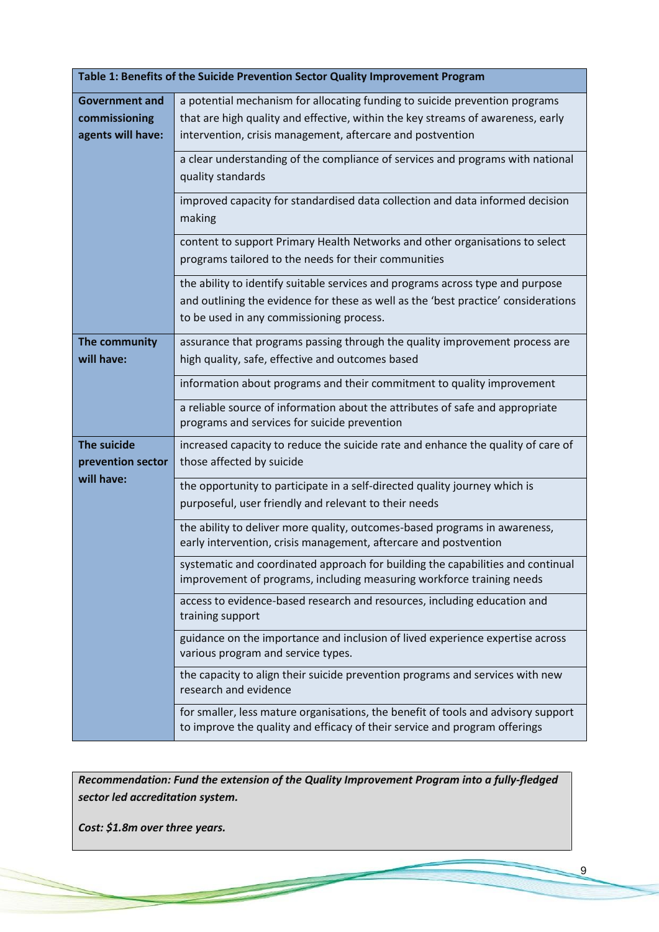| Table 1: Benefits of the Suicide Prevention Sector Quality Improvement Program |                                                                                                                                                                                                                              |  |
|--------------------------------------------------------------------------------|------------------------------------------------------------------------------------------------------------------------------------------------------------------------------------------------------------------------------|--|
| <b>Government and</b><br>commissioning<br>agents will have:                    | a potential mechanism for allocating funding to suicide prevention programs<br>that are high quality and effective, within the key streams of awareness, early<br>intervention, crisis management, aftercare and postvention |  |
|                                                                                | a clear understanding of the compliance of services and programs with national<br>quality standards                                                                                                                          |  |
|                                                                                | improved capacity for standardised data collection and data informed decision<br>making                                                                                                                                      |  |
|                                                                                | content to support Primary Health Networks and other organisations to select<br>programs tailored to the needs for their communities                                                                                         |  |
|                                                                                | the ability to identify suitable services and programs across type and purpose<br>and outlining the evidence for these as well as the 'best practice' considerations<br>to be used in any commissioning process.             |  |
| The community<br>will have:                                                    | assurance that programs passing through the quality improvement process are<br>high quality, safe, effective and outcomes based                                                                                              |  |
|                                                                                | information about programs and their commitment to quality improvement                                                                                                                                                       |  |
|                                                                                | a reliable source of information about the attributes of safe and appropriate<br>programs and services for suicide prevention                                                                                                |  |
| <b>The suicide</b><br>prevention sector<br>will have:                          | increased capacity to reduce the suicide rate and enhance the quality of care of<br>those affected by suicide                                                                                                                |  |
|                                                                                | the opportunity to participate in a self-directed quality journey which is<br>purposeful, user friendly and relevant to their needs                                                                                          |  |
|                                                                                | the ability to deliver more quality, outcomes-based programs in awareness,<br>early intervention, crisis management, aftercare and postvention                                                                               |  |
|                                                                                | systematic and coordinated approach for building the capabilities and continual<br>improvement of programs, including measuring workforce training needs                                                                     |  |
|                                                                                | access to evidence-based research and resources, including education and<br>training support                                                                                                                                 |  |
|                                                                                | guidance on the importance and inclusion of lived experience expertise across<br>various program and service types.                                                                                                          |  |
|                                                                                | the capacity to align their suicide prevention programs and services with new<br>research and evidence                                                                                                                       |  |
|                                                                                | for smaller, less mature organisations, the benefit of tools and advisory support<br>to improve the quality and efficacy of their service and program offerings                                                              |  |

*Recommendation: Fund the extension of the Quality Improvement Program into a fully-fledged sector led accreditation system.*

*Cost: \$1.8m over three years.*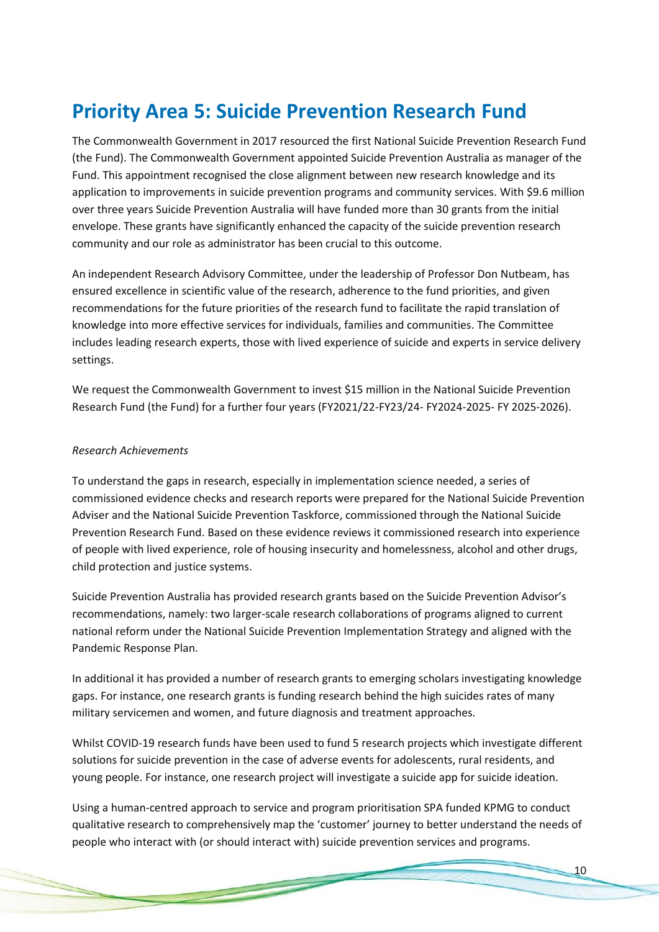### **Priority Area 5: Suicide Prevention Research Fund**

The Commonwealth Government in 2017 resourced the first National Suicide Prevention Research Fund (the Fund). The Commonwealth Government appointed Suicide Prevention Australia as manager of the Fund. This appointment recognised the close alignment between new research knowledge and its application to improvements in suicide prevention programs and community services. With \$9.6 million over three years Suicide Prevention Australia will have funded more than 30 grants from the initial envelope. These grants have significantly enhanced the capacity of the suicide prevention research community and our role as administrator has been crucial to this outcome.

An independent Research Advisory Committee, under the leadership of Professor Don Nutbeam, has ensured excellence in scientific value of the research, adherence to the fund priorities, and given recommendations for the future priorities of the research fund to facilitate the rapid translation of knowledge into more effective services for individuals, families and communities. The Committee includes leading research experts, those with lived experience of suicide and experts in service delivery settings.

We request the Commonwealth Government to invest \$15 million in the National Suicide Prevention Research Fund (the Fund) for a further four years (FY2021/22-FY23/24- FY2024-2025- FY 2025-2026).

#### *Research Achievements*

To understand the gaps in research, especially in implementation science needed, a series of commissioned evidence checks and research reports were prepared for the National Suicide Prevention Adviser and the National Suicide Prevention Taskforce, commissioned through the National Suicide Prevention Research Fund. Based on these evidence reviews it commissioned research into experience of people with lived experience, role of housing insecurity and homelessness, alcohol and other drugs, child protection and justice systems.

Suicide Prevention Australia has provided research grants based on the Suicide Prevention Advisor's recommendations, namely: two larger-scale research collaborations of programs aligned to current national reform under the National Suicide Prevention Implementation Strategy and aligned with the Pandemic Response Plan.

In additional it has provided a number of research grants to emerging scholars investigating knowledge gaps. For instance, one research grants is funding research behind the high suicides rates of many military servicemen and women, and future diagnosis and treatment approaches.

Whilst COVID-19 research funds have been used to fund 5 research projects which investigate different solutions for suicide prevention in the case of adverse events for adolescents, rural residents, and young people. For instance, one research project will investigate a suicide app for suicide ideation.

Using a human-centred approach to service and program prioritisation SPA funded KPMG to conduct qualitative research to comprehensively map the 'customer' journey to better understand the needs of people who interact with (or should interact with) suicide prevention services and programs.

and the contract of the contract of the contract of the contract of the contract of the contract of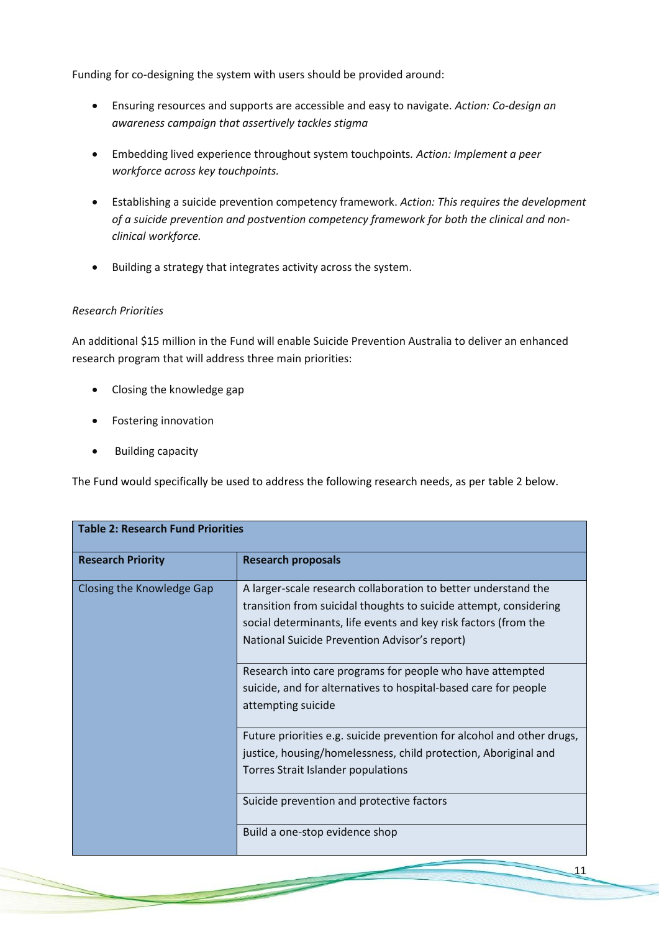Funding for co-designing the system with users should be provided around:

- Ensuring resources and supports are accessible and easy to navigate. *Action: Co-design an awareness campaign that assertively tackles stigma*
- Embedding lived experience throughout system touchpoints*. Action: Implement a peer workforce across key touchpoints.*
- Establishing a suicide prevention competency framework. *Action: This requires the development of a suicide prevention and postvention competency framework for both the clinical and nonclinical workforce.*
- Building a strategy that integrates activity across the system.

#### *Research Priorities*

An additional \$15 million in the Fund will enable Suicide Prevention Australia to deliver an enhanced research program that will address three main priorities:

- Closing the knowledge gap
- Fostering innovation
- Building capacity

The Fund would specifically be used to address the following research needs, as per table 2 below.

| <b>Table 2: Research Fund Priorities</b> |                                                                                                                                                                                                                                                         |  |
|------------------------------------------|---------------------------------------------------------------------------------------------------------------------------------------------------------------------------------------------------------------------------------------------------------|--|
| <b>Research Priority</b>                 | <b>Research proposals</b>                                                                                                                                                                                                                               |  |
| Closing the Knowledge Gap                | A larger-scale research collaboration to better understand the<br>transition from suicidal thoughts to suicide attempt, considering<br>social determinants, life events and key risk factors (from the<br>National Suicide Prevention Advisor's report) |  |
|                                          | Research into care programs for people who have attempted<br>suicide, and for alternatives to hospital-based care for people<br>attempting suicide                                                                                                      |  |
|                                          | Future priorities e.g. suicide prevention for alcohol and other drugs,<br>justice, housing/homelessness, child protection, Aboriginal and<br>Torres Strait Islander populations                                                                         |  |
|                                          | Suicide prevention and protective factors                                                                                                                                                                                                               |  |
|                                          | Build a one-stop evidence shop                                                                                                                                                                                                                          |  |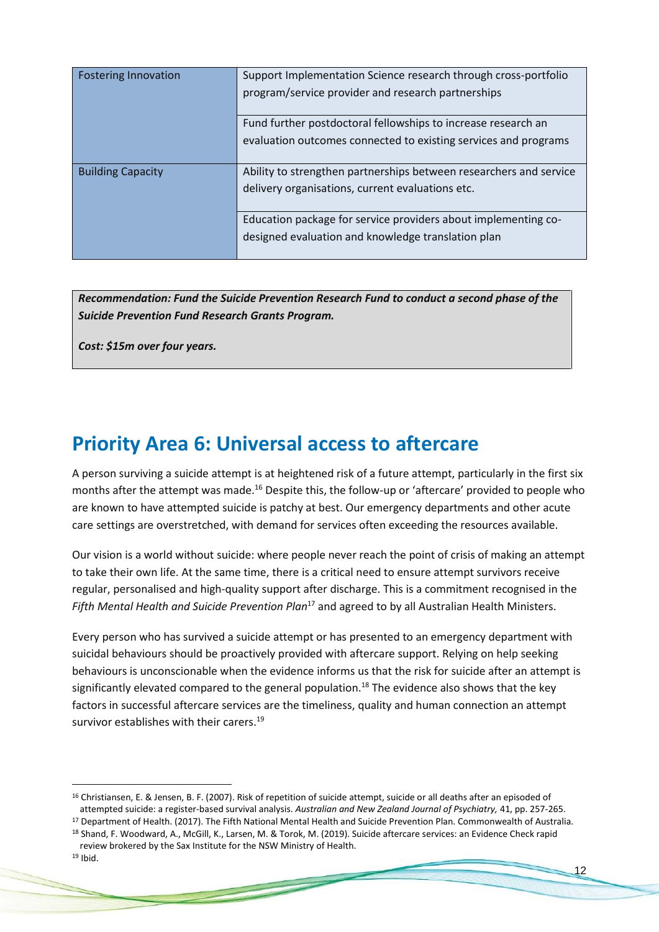| <b>Fostering Innovation</b> | Support Implementation Science research through cross-portfolio    |
|-----------------------------|--------------------------------------------------------------------|
|                             | program/service provider and research partnerships                 |
|                             | Fund further postdoctoral fellowships to increase research an      |
|                             | evaluation outcomes connected to existing services and programs    |
| <b>Building Capacity</b>    | Ability to strengthen partnerships between researchers and service |
|                             | delivery organisations, current evaluations etc.                   |
|                             | Education package for service providers about implementing co-     |
|                             | designed evaluation and knowledge translation plan                 |
|                             |                                                                    |

*Recommendation: Fund the Suicide Prevention Research Fund to conduct a second phase of the Suicide Prevention Fund Research Grants Program.*

*Cost: \$15m over four years.*

### **Priority Area 6: Universal access to aftercare**

A person surviving a suicide attempt is at heightened risk of a future attempt, particularly in the first six months after the attempt was made.<sup>16</sup> Despite this, the follow-up or 'aftercare' provided to people who are known to have attempted suicide is patchy at best. Our emergency departments and other acute care settings are overstretched, with demand for services often exceeding the resources available.

Our vision is a world without suicide: where people never reach the point of crisis of making an attempt to take their own life. At the same time, there is a critical need to ensure attempt survivors receive regular, personalised and high-quality support after discharge. This is a commitment recognised in the *Fifth Mental Health and Suicide Prevention Plan*<sup>17</sup> and agreed to by all Australian Health Ministers.

Every person who has survived a suicide attempt or has presented to an emergency department with suicidal behaviours should be proactively provided with aftercare support. Relying on help seeking behaviours is unconscionable when the evidence informs us that the risk for suicide after an attempt is significantly elevated compared to the general population.<sup>18</sup> The evidence also shows that the key factors in successful aftercare services are the timeliness, quality and human connection an attempt survivor establishes with their carers.<sup>19</sup>

<sup>16</sup> Christiansen, E. & Jensen, B. F. (2007). Risk of repetition of suicide attempt, suicide or all deaths after an episoded of attempted suicide: a register-based survival analysis. *Australian and New Zealand Journal of Psychiatry,* 41, pp. 257-265.

<sup>&</sup>lt;sup>17</sup> Department of Health. (2017). The Fifth National Mental Health and Suicide Prevention Plan. Commonwealth of Australia.

<sup>18</sup> Shand, F. Woodward, A., McGill, K., Larsen, M. & Torok, M. (2019). Suicide aftercare services: an Evidence Check rapid review brokered by the Sax Institute for the NSW Ministry of Health.

 $19$  Ibid.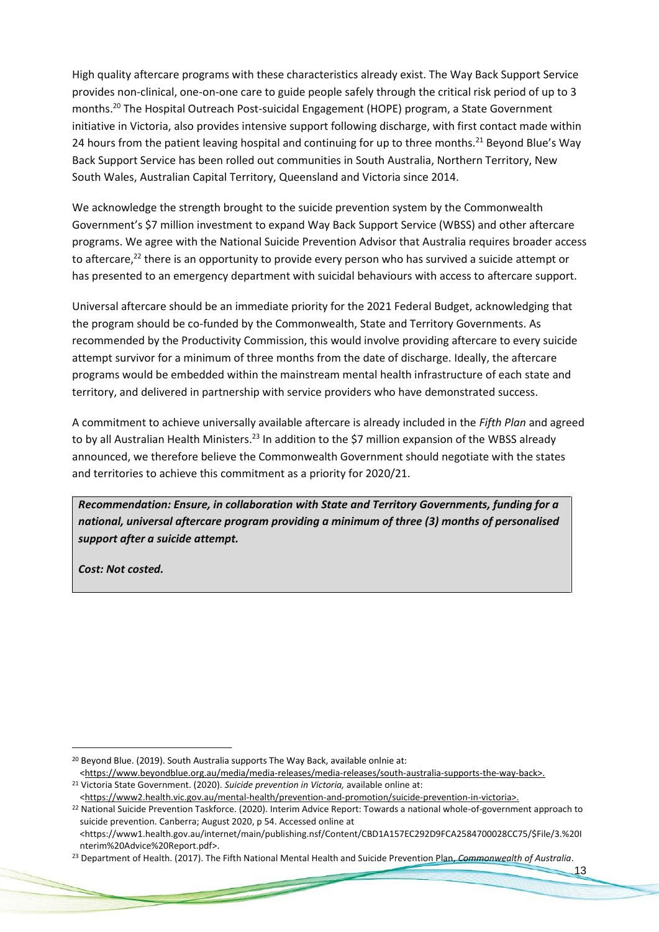High quality aftercare programs with these characteristics already exist. The Way Back Support Service provides non-clinical, one-on-one care to guide people safely through the critical risk period of up to 3 months.<sup>20</sup> The Hospital Outreach Post-suicidal Engagement (HOPE) program, a State Government initiative in Victoria, also provides intensive support following discharge, with first contact made within 24 hours from the patient leaving hospital and continuing for up to three months.<sup>21</sup> Beyond Blue's Way Back Support Service has been rolled out communities in South Australia, Northern Territory, New South Wales, Australian Capital Territory, Queensland and Victoria since 2014.

We acknowledge the strength brought to the suicide prevention system by the Commonwealth Government's \$7 million investment to expand Way Back Support Service (WBSS) and other aftercare programs. We agree with the National Suicide Prevention Advisor that Australia requires broader access to aftercare,<sup>22</sup> there is an opportunity to provide every person who has survived a suicide attempt or has presented to an emergency department with suicidal behaviours with access to aftercare support.

Universal aftercare should be an immediate priority for the 2021 Federal Budget, acknowledging that the program should be co-funded by the Commonwealth, State and Territory Governments. As recommended by the Productivity Commission, this would involve providing aftercare to every suicide attempt survivor for a minimum of three months from the date of discharge. Ideally, the aftercare programs would be embedded within the mainstream mental health infrastructure of each state and territory, and delivered in partnership with service providers who have demonstrated success.

A commitment to achieve universally available aftercare is already included in the *Fifth Plan* and agreed to by all Australian Health Ministers.<sup>23</sup> In addition to the \$7 million expansion of the WBSS already announced, we therefore believe the Commonwealth Government should negotiate with the states and territories to achieve this commitment as a priority for 2020/21.

*Recommendation: Ensure, in collaboration with State and Territory Governments, funding for a national, universal aftercare program providing a minimum of three (3) months of personalised support after a suicide attempt.*

*Cost: Not costed.*

<sup>20</sup> Beyond Blue. (2019). South Australia supports The Way Back, available onlnie at: <https://www.beyondblue.org.au/media/media-releases/media-releases/south-australia-supports-the-way-back>.

<sup>21</sup> Victoria State Government. (2020). *Suicide prevention in Victoria,* available online at:

<sup>&</sup>lt;https://www2.health.vic.gov.au/mental-health/prevention-and-promotion/suicide-prevention-in-victoria>.

<sup>22</sup> National Suicide Prevention Taskforce. (2020). Interim Advice Report: Towards a national whole-of-government approach to suicide prevention. Canberra; August 2020, p 54. Accessed online at

<sup>&</sup>lt;https://www1.health.gov.au/internet/main/publishing.nsf/Content/CBD1A157EC292D9FCA2584700028CC75/\$File/3.%20I nterim%20Advice%20Report.pdf>.

<sup>23</sup> Department of Health. (2017). The Fifth National Mental Health and Suicide Prevention Plan, *Commonwealth of Australia*.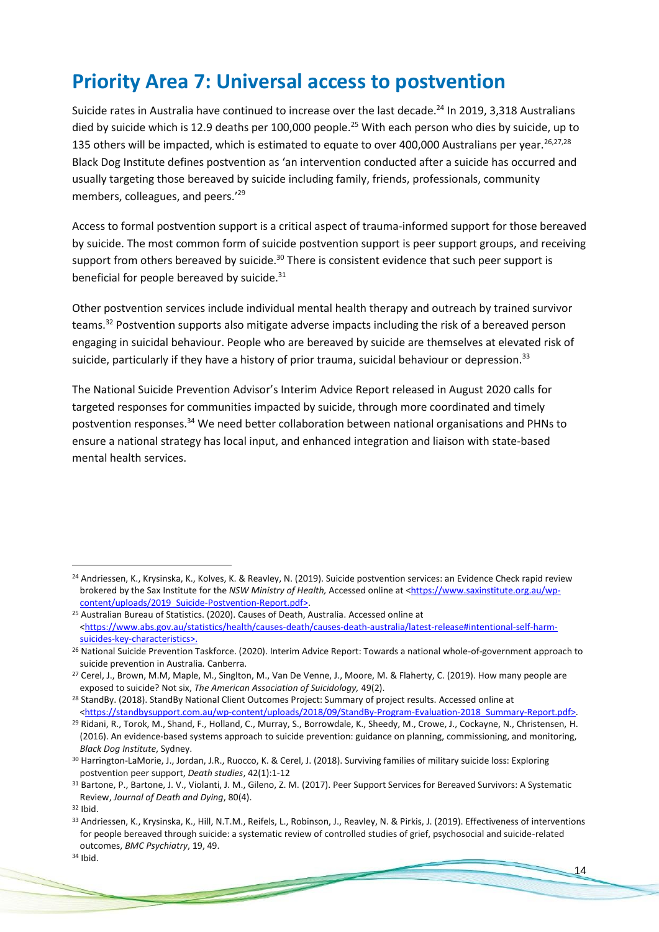### **Priority Area 7: Universal access to postvention**

Suicide rates in Australia have continued to increase over the last decade.<sup>24</sup> In 2019, 3,318 Australians died by suicide which is 12.9 deaths per 100,000 people.<sup>25</sup> With each person who dies by suicide, up to 135 others will be impacted, which is estimated to equate to over 400,000 Australians per year.  $26,27,28$ Black Dog Institute defines postvention as 'an intervention conducted after a suicide has occurred and usually targeting those bereaved by suicide including family, friends, professionals, community members, colleagues, and peers.'<sup>29</sup>

Access to formal postvention support is a critical aspect of trauma-informed support for those bereaved by suicide. The most common form of suicide postvention support is peer support groups, and receiving support from others bereaved by suicide.<sup>30</sup> There is consistent evidence that such peer support is beneficial for people bereaved by suicide.<sup>31</sup>

Other postvention services include individual mental health therapy and outreach by trained survivor teams.<sup>32</sup> Postvention supports also mitigate adverse impacts including the risk of a bereaved person engaging in suicidal behaviour. People who are bereaved by suicide are themselves at elevated risk of suicide, particularly if they have a history of prior trauma, suicidal behaviour or depression.<sup>33</sup>

The National Suicide Prevention Advisor's Interim Advice Report released in August 2020 calls for targeted responses for communities impacted by suicide, through more coordinated and timely postvention responses.<sup>34</sup> We need better collaboration between national organisations and PHNs to ensure a national strategy has local input, and enhanced integration and liaison with state-based mental health services.

**Contract of the Contract of the Contract of the Contract of the Contract of the Contract of the Contract of the Contract of the Contract of the Contract of the Contract of the Contract of the Contract of the Contract of t** 

<sup>&</sup>lt;sup>24</sup> Andriessen, K., Krysinska, K., Kolves, K. & Reavley, N. (2019). Suicide postvention services: an Evidence Check rapid review brokered by the Sax Institute for the *NSW Ministry of Health,* Accessed online at [<https://www.saxinstitute.org.au/wp](https://www.saxinstitute.org.au/wp-content/uploads/2019_Suicide-Postvention-Report.pdf)[content/uploads/2019\\_Suicide-Postvention-Report.pdf>](https://www.saxinstitute.org.au/wp-content/uploads/2019_Suicide-Postvention-Report.pdf).

<sup>25</sup> Australian Bureau of Statistics. (2020). Causes of Death, Australia. Accessed online at [<https://www.abs.gov.au/statistics/health/causes-death/causes-death-australia/latest-release#intentional-self-harm](https://www.abs.gov.au/statistics/health/causes-death/causes-death-australia/latest-release#intentional-self-harm-suicides-key-characteristics)[suicides-key-characteristics>](https://www.abs.gov.au/statistics/health/causes-death/causes-death-australia/latest-release#intentional-self-harm-suicides-key-characteristics).

<sup>&</sup>lt;sup>26</sup> National Suicide Prevention Taskforce. (2020). Interim Advice Report: Towards a national whole-of-government approach to suicide prevention in Australia*.* Canberra.

<sup>&</sup>lt;sup>27</sup> Cerel, J., Brown, M.M, Maple, M., Singlton, M., Van De Venne, J., Moore, M. & Flaherty, C. (2019). How many people are exposed to suicide? Not six, *The American Association of Suicidology,* 49(2).

<sup>&</sup>lt;sup>28</sup> StandBy. (2018). StandBy National Client Outcomes Project: Summary of project results. Accessed online at [<https://standbysupport.com.au/wp-content/uploads/2018/09/StandBy-Program-Evaluation-2018\\_Summary-Report.pdf>](https://standbysupport.com.au/wp-content/uploads/2018/09/StandBy-Program-Evaluation-2018_Summary-Report.pdf).

<sup>29</sup> Ridani, R., Torok, M., Shand, F., Holland, C., Murray, S., Borrowdale, K., Sheedy, M., Crowe, J., Cockayne, N., Christensen, H. (2016). An evidence-based systems approach to suicide prevention: guidance on planning, commissioning, and monitoring, *Black Dog Institute*, Sydney.

<sup>30</sup> Harrington-LaMorie, J., Jordan, J.R., Ruocco, K. & Cerel, J. (2018). Surviving families of military suicide loss: Exploring postvention peer support, *Death studies*, 42(1):1-12

<sup>31</sup> Bartone, P., Bartone, J. V., Violanti, J. M., Gileno, Z. M. (2017). Peer Support Services for Bereaved Survivors: A Systematic Review, *Journal of Death and Dying*, 80(4).

<sup>32</sup> Ibid.

<sup>33</sup> Andriessen, K., Krysinska, K., Hill, N.T.M., Reifels, L., Robinson, J., Reavley, N. & Pirkis, J. (2019). Effectiveness of interventions for people bereaved through suicide: a systematic review of controlled studies of grief, psychosocial and suicide-related outcomes, *BMC Psychiatry*, 19, 49.

<sup>34</sup> Ibid.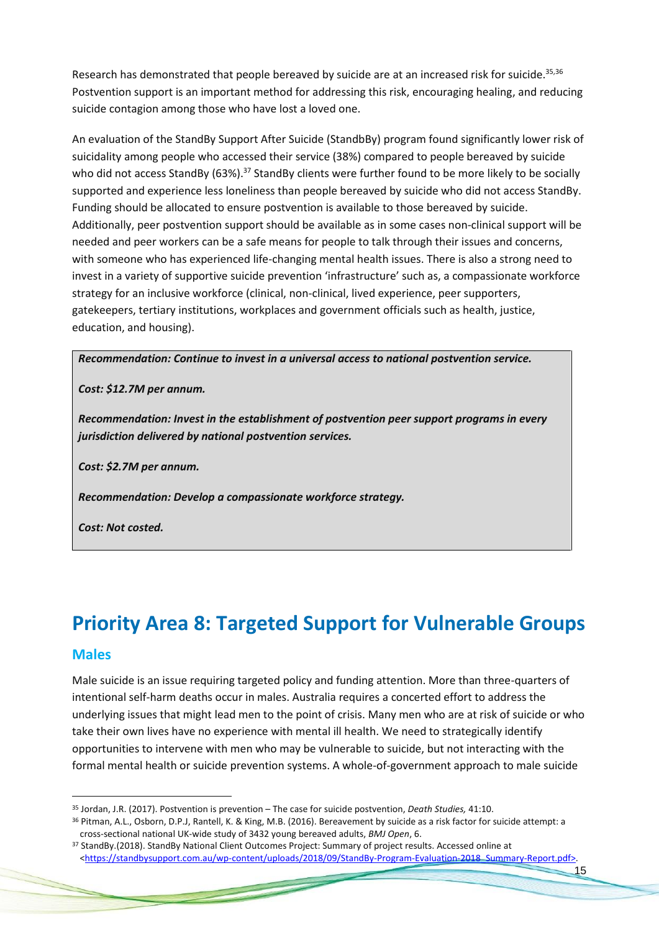Research has demonstrated that people bereaved by suicide are at an increased risk for suicide.<sup>35,36</sup> Postvention support is an important method for addressing this risk, encouraging healing, and reducing suicide contagion among those who have lost a loved one.

An evaluation of the StandBy Support After Suicide (StandbBy) program found significantly lower risk of suicidality among people who accessed their service (38%) compared to people bereaved by suicide who did not access StandBy (63%).<sup>37</sup> StandBy clients were further found to be more likely to be socially supported and experience less loneliness than people bereaved by suicide who did not access StandBy. Funding should be allocated to ensure postvention is available to those bereaved by suicide. Additionally, peer postvention support should be available as in some cases non-clinical support will be needed and peer workers can be a safe means for people to talk through their issues and concerns, with someone who has experienced life-changing mental health issues. There is also a strong need to invest in a variety of supportive suicide prevention 'infrastructure' such as, a compassionate workforce strategy for an inclusive workforce (clinical, non-clinical, lived experience, peer supporters, gatekeepers, tertiary institutions, workplaces and government officials such as health, justice, education, and housing).

#### *Recommendation: Continue to invest in a universal access to national postvention service.*

#### *Cost: \$12.7M per annum.*

*Recommendation: Invest in the establishment of postvention peer support programs in every jurisdiction delivered by national postvention services.*

*Cost: \$2.7M per annum.*

*Recommendation: Develop a compassionate workforce strategy.*

*Cost: Not costed.*

## **Priority Area 8: Targeted Support for Vulnerable Groups**

#### **Males**

Male suicide is an issue requiring targeted policy and funding attention. More than three-quarters of intentional self-harm deaths occur in males. Australia requires a concerted effort to address the underlying issues that might lead men to the point of crisis. Many men who are at risk of suicide or who take their own lives have no experience with mental ill health. We need to strategically identify opportunities to intervene with men who may be vulnerable to suicide, but not interacting with the formal mental health or suicide prevention systems. A whole-of-government approach to male suicide

<sup>35</sup> Jordan, J.R. (2017). Postvention is prevention – The case for suicide postvention, *Death Studies,* 41:10.

<sup>36</sup> Pitman, A.L., Osborn, D.P.J, Rantell, K. & King, M.B. (2016). Bereavement by suicide as a risk factor for suicide attempt: a cross-sectional national UK-wide study of 3432 young bereaved adults, *BMJ Open*, 6.

<sup>37</sup> StandBy.(2018). StandBy National Client Outcomes Project: Summary of project results. Accessed online at [<https://standbysupport.com.au/wp-content/uploads/2018/09/StandBy-Program-Evaluation-2018\\_Summary-Report.pdf>](https://standbysupport.com.au/wp-content/uploads/2018/09/StandBy-Program-Evaluation-2018_Summary-Report.pdf).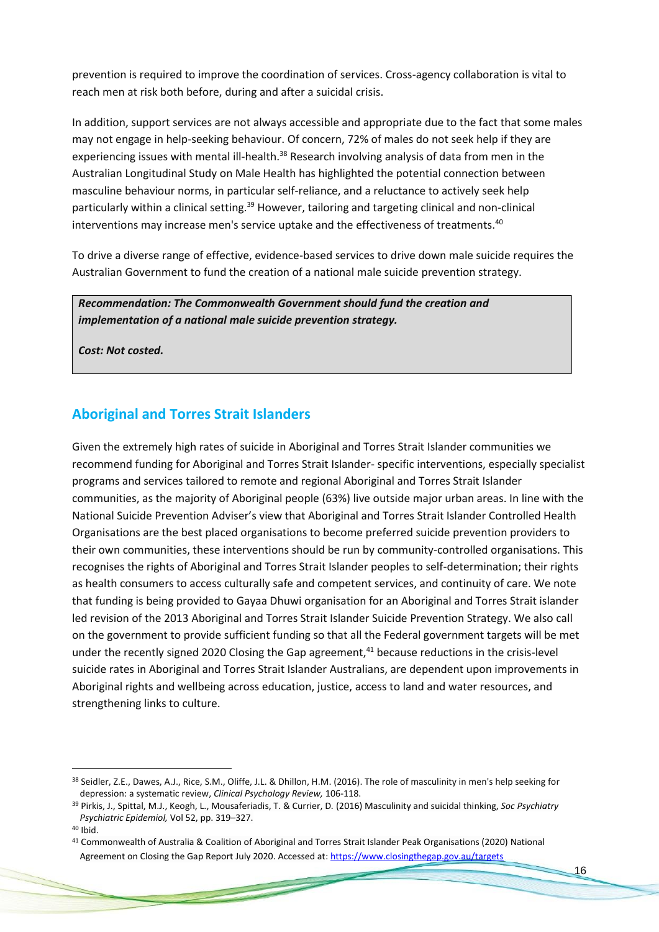prevention is required to improve the coordination of services. Cross-agency collaboration is vital to reach men at risk both before, during and after a suicidal crisis.

In addition, support services are not always accessible and appropriate due to the fact that some males may not engage in help-seeking behaviour. Of concern, 72% of males do not seek help if they are experiencing issues with mental ill-health.<sup>38</sup> Research involving analysis of data from men in the Australian Longitudinal Study on Male Health has highlighted the potential connection between masculine behaviour norms, in particular self-reliance, and a reluctance to actively seek help particularly within a clinical setting.<sup>39</sup> However, tailoring and targeting clinical and non-clinical interventions may increase men's service uptake and the effectiveness of treatments.<sup>40</sup>

To drive a diverse range of effective, evidence-based services to drive down male suicide requires the Australian Government to fund the creation of a national male suicide prevention strategy.

*Recommendation: The Commonwealth Government should fund the creation and implementation of a national male suicide prevention strategy.*

*Cost: Not costed.*

### **Aboriginal and Torres Strait Islanders**

Given the extremely high rates of suicide in Aboriginal and Torres Strait Islander communities we recommend funding for Aboriginal and Torres Strait Islander- specific interventions, especially specialist programs and services tailored to remote and regional Aboriginal and Torres Strait Islander communities, as the majority of Aboriginal people (63%) live outside major urban areas. In line with the National Suicide Prevention Adviser's view that Aboriginal and Torres Strait Islander Controlled Health Organisations are the best placed organisations to become preferred suicide prevention providers to their own communities, these interventions should be run by community-controlled organisations. This recognises the rights of Aboriginal and Torres Strait Islander peoples to self-determination; their rights as health consumers to access culturally safe and competent services, and continuity of care. We note that funding is being provided to Gayaa Dhuwi organisation for an Aboriginal and Torres Strait islander led revision of the 2013 Aboriginal and Torres Strait Islander Suicide Prevention Strategy. We also call on the government to provide sufficient funding so that all the Federal government targets will be met under the recently signed 2020 Closing the Gap agreement, $41$  because reductions in the crisis-level suicide rates in Aboriginal and Torres Strait Islander Australians, are dependent upon improvements in Aboriginal rights and wellbeing across education, justice, access to land and water resources, and strengthening links to culture.

<sup>38</sup> Seidler, Z.E., Dawes, A.J., Rice, S.M., Oliffe, J.L. & Dhillon, H.M. (2016). The role of masculinity in men's help seeking for depression: a systematic review, *Clinical Psychology Review,* 106-118.

<sup>39</sup> Pirkis, J., Spittal, M.J., Keogh, L., Mousaferiadis, T. & Currier, D*.* (2016) Masculinity and suicidal thinking, *Soc Psychiatry Psychiatric Epidemiol,* Vol 52, pp. 319–327.

<sup>40</sup> Ibid.

<sup>41</sup> Commonwealth of Australia & Coalition of Aboriginal and Torres Strait Islander Peak Organisations (2020) National Agreement on Closing the Gap Report July 2020. Accessed at[: https://www.closingthegap.gov.au/targets](https://www.closingthegap.gov.au/targets)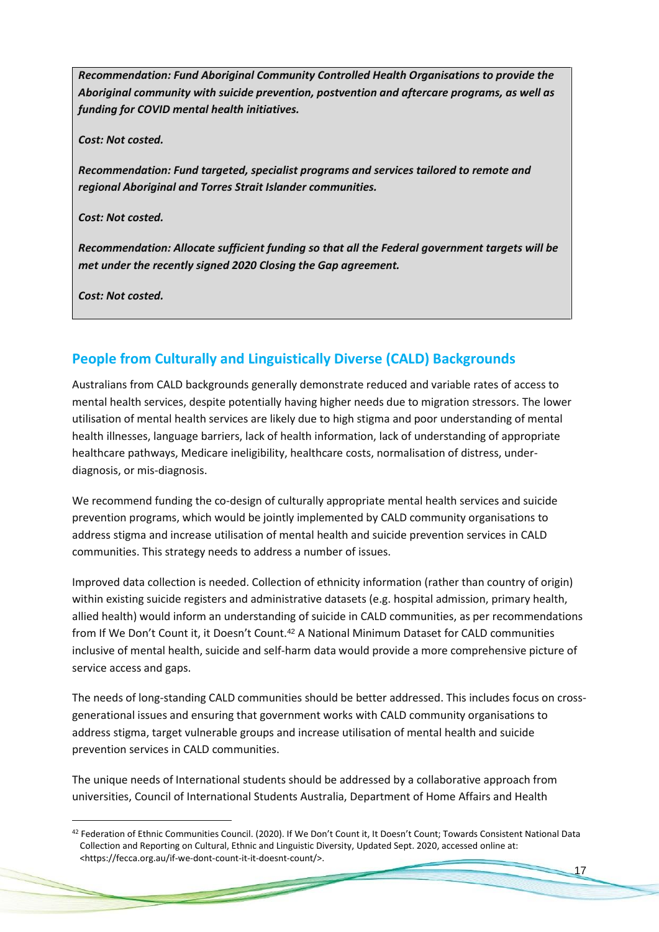*Recommendation: Fund Aboriginal Community Controlled Health Organisations to provide the Aboriginal community with suicide prevention, postvention and aftercare programs, as well as funding for COVID mental health initiatives.*

*Cost: Not costed.*

*Recommendation: Fund targeted, specialist programs and services tailored to remote and regional Aboriginal and Torres Strait Islander communities.*

*Cost: Not costed.*

*Recommendation: Allocate sufficient funding so that all the Federal government targets will be met under the recently signed 2020 Closing the Gap agreement.*

*Cost: Not costed.*

### **People from Culturally and Linguistically Diverse (CALD) Backgrounds**

Australians from CALD backgrounds generally demonstrate reduced and variable rates of access to mental health services, despite potentially having higher needs due to migration stressors. The lower utilisation of mental health services are likely due to high stigma and poor understanding of mental health illnesses, language barriers, lack of health information, lack of understanding of appropriate healthcare pathways, Medicare ineligibility, healthcare costs, normalisation of distress, underdiagnosis, or mis-diagnosis.

We recommend funding the co-design of culturally appropriate mental health services and suicide prevention programs, which would be jointly implemented by CALD community organisations to address stigma and increase utilisation of mental health and suicide prevention services in CALD communities. This strategy needs to address a number of issues.

Improved data collection is needed. Collection of ethnicity information (rather than country of origin) within existing suicide registers and administrative datasets (e.g. hospital admission, primary health, allied health) would inform an understanding of suicide in CALD communities, as per recommendations from If We Don't Count it, it Doesn't Count.<sup>42</sup> A National Minimum Dataset for CALD communities inclusive of mental health, suicide and self-harm data would provide a more comprehensive picture of service access and gaps.

The needs of long-standing CALD communities should be better addressed. This includes focus on crossgenerational issues and ensuring that government works with CALD community organisations to address stigma, target vulnerable groups and increase utilisation of mental health and suicide prevention services in CALD communities.

The unique needs of International students should be addressed by a collaborative approach from universities, Council of International Students Australia, Department of Home Affairs and Health

<sup>42</sup> Federation of Ethnic Communities Council. (2020). If We Don't Count it, It Doesn't Count; Towards Consistent National Data Collection and Reporting on Cultural, Ethnic and Linguistic Diversity, Updated Sept. 2020, accessed online at: <https://fecca.org.au/if-we-dont-count-it-it-doesnt-count/>.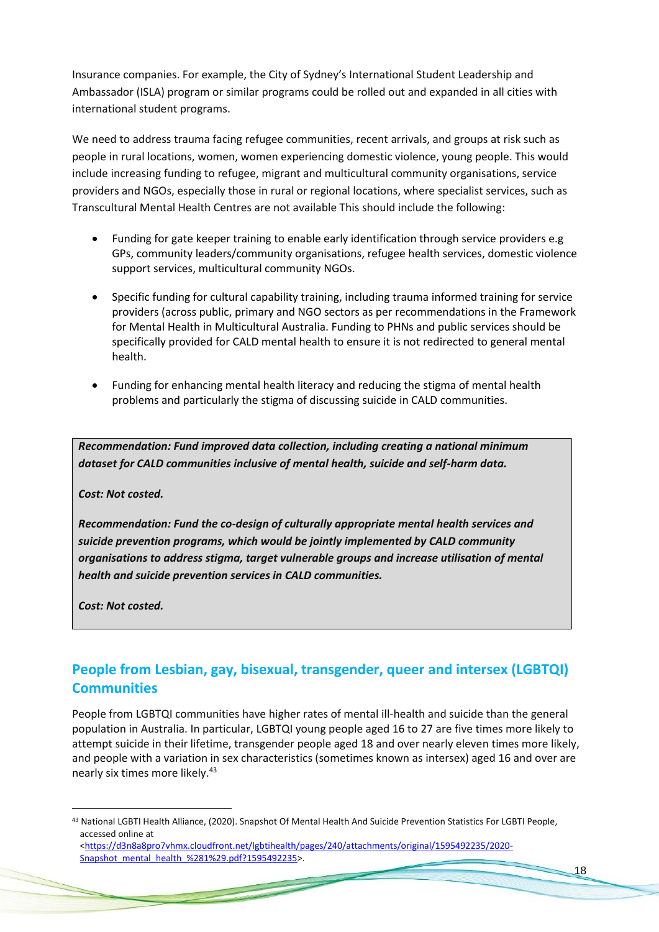Insurance companies. For example, the City of Sydney's International Student Leadership and Ambassador (ISLA) program or similar programs could be rolled out and expanded in all cities with international student programs.

We need to address trauma facing refugee communities, recent arrivals, and groups at risk such as people in rural locations, women, women experiencing domestic violence, young people. This would include increasing funding to refugee, migrant and multicultural community organisations, service providers and NGOs, especially those in rural or regional locations, where specialist services, such as Transcultural Mental Health Centres are not available This should include the following:

- Funding for gate keeper training to enable early identification through service providers e.g GPs, community leaders/community organisations, refugee health services, domestic violence support services, multicultural community NGOs.
- Specific funding for cultural capability training, including trauma informed training for service providers (across public, primary and NGO sectors as per recommendations in the Framework for Mental Health in Multicultural Australia. Funding to PHNs and public services should be specifically provided for CALD mental health to ensure it is not redirected to general mental health.
- Funding for enhancing mental health literacy and reducing the stigma of mental health problems and particularly the stigma of discussing suicide in CALD communities.

*Recommendation: Fund improved data collection, including creating a national minimum dataset for CALD communities inclusive of mental health, suicide and self-harm data.*

*Cost: Not costed.*

*Recommendation: Fund the co-design of culturally appropriate mental health services and suicide prevention programs, which would be jointly implemented by CALD community organisations to address stigma, target vulnerable groups and increase utilisation of mental health and suicide prevention services in CALD communities.*

*Cost: Not costed.*

### **People from Lesbian, gay, bisexual, transgender, queer and intersex (LGBTQI) Communities**

People from LGBTQI communities have higher rates of mental ill-health and suicide than the general population in Australia. In particular, LGBTQI young people aged 16 to 27 are five times more likely to attempt suicide in their lifetime, transgender people aged 18 and over nearly eleven times more likely, and people with a variation in sex characteristics (sometimes known as intersex) aged 16 and over are nearly six times more likely.<sup>43</sup>

the contract of the contract of the contract of the contract of the contract of the contract of the contract of

<sup>43</sup> National LGBTI Health Alliance, (2020). Snapshot Of Mental Health And Suicide Prevention Statistics For LGBTI People, accessed online at [<https://d3n8a8pro7vhmx.cloudfront.net/lgbtihealth/pages/240/attachments/original/1595492235/2020-](https://d3n8a8pro7vhmx.cloudfront.net/lgbtihealth/pages/240/attachments/original/1595492235/2020-Snapshot_mental_health_%281%29.pdf?1595492235)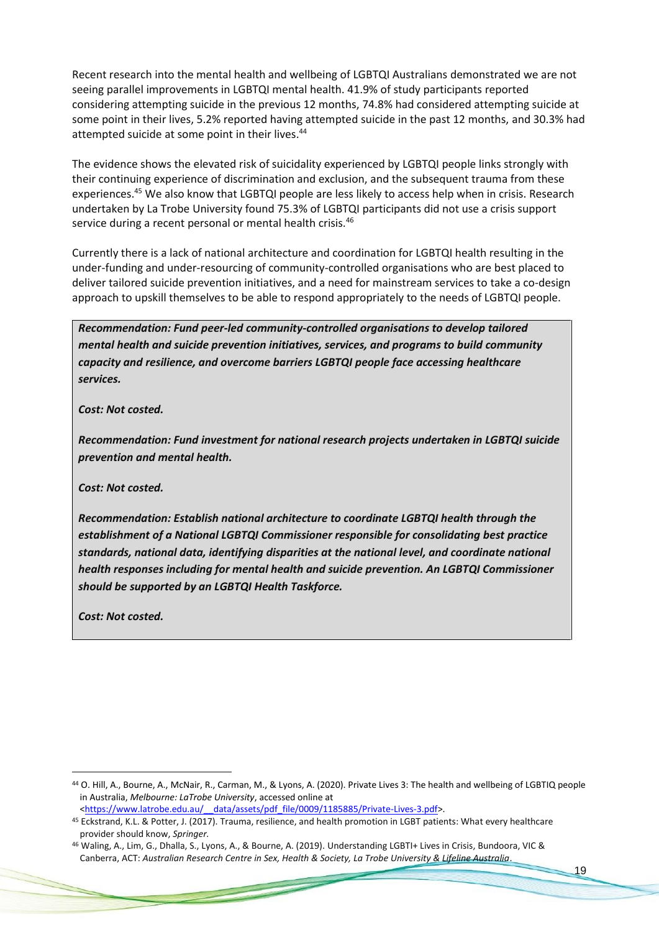Recent research into the mental health and wellbeing of LGBTQI Australians demonstrated we are not seeing parallel improvements in LGBTQI mental health. 41.9% of study participants reported considering attempting suicide in the previous 12 months, 74.8% had considered attempting suicide at some point in their lives, 5.2% reported having attempted suicide in the past 12 months, and 30.3% had attempted suicide at some point in their lives.<sup>44</sup>

The evidence shows the elevated risk of suicidality experienced by LGBTQI people links strongly with their continuing experience of discrimination and exclusion, and the subsequent trauma from these experiences.<sup>45</sup> We also know that LGBTQI people are less likely to access help when in crisis. Research undertaken by La Trobe University found 75.3% of LGBTQI participants did not use a crisis support service during a recent personal or mental health crisis.<sup>46</sup>

Currently there is a lack of national architecture and coordination for LGBTQI health resulting in the under-funding and under-resourcing of community-controlled organisations who are best placed to deliver tailored suicide prevention initiatives, and a need for mainstream services to take a co-design approach to upskill themselves to be able to respond appropriately to the needs of LGBTQI people.

*Recommendation: Fund peer-led community-controlled organisations to develop tailored mental health and suicide prevention initiatives, services, and programs to build community capacity and resilience, and overcome barriers LGBTQI people face accessing healthcare services.*

*Cost: Not costed.*

*Recommendation: Fund investment for national research projects undertaken in LGBTQI suicide prevention and mental health.*

*Cost: Not costed.*

*Recommendation: Establish national architecture to coordinate LGBTQI health through the establishment of a National LGBTQI Commissioner responsible for consolidating best practice standards, national data, identifying disparities at the national level, and coordinate national health responses including for mental health and suicide prevention. An LGBTQI Commissioner should be supported by an LGBTQI Health Taskforce.*

*Cost: Not costed.*

<sup>44</sup> O. Hill, A., Bourne, A., McNair, R., Carman, M., & Lyons, A. (2020). Private Lives 3: The health and wellbeing of LGBTIQ people in Australia, *Melbourne: LaTrobe University*, accessed online at <https://www.latrobe.edu.au/ data/assets/pdf file/0009/1185885/Private-Lives-3.pdf>.

<sup>45</sup> Eckstrand, K.L. & Potter, J. (2017). Trauma, resilience, and health promotion in LGBT patients: What every healthcare provider should know, *Springer.*

<sup>46</sup> Waling, A., Lim, G., Dhalla, S., Lyons, A., & Bourne, A. (2019). Understanding LGBTI+ Lives in Crisis, Bundoora, VIC & Canberra, ACT: *Australian Research Centre in Sex, Health & Society, La Trobe University & Lifeline Australia*.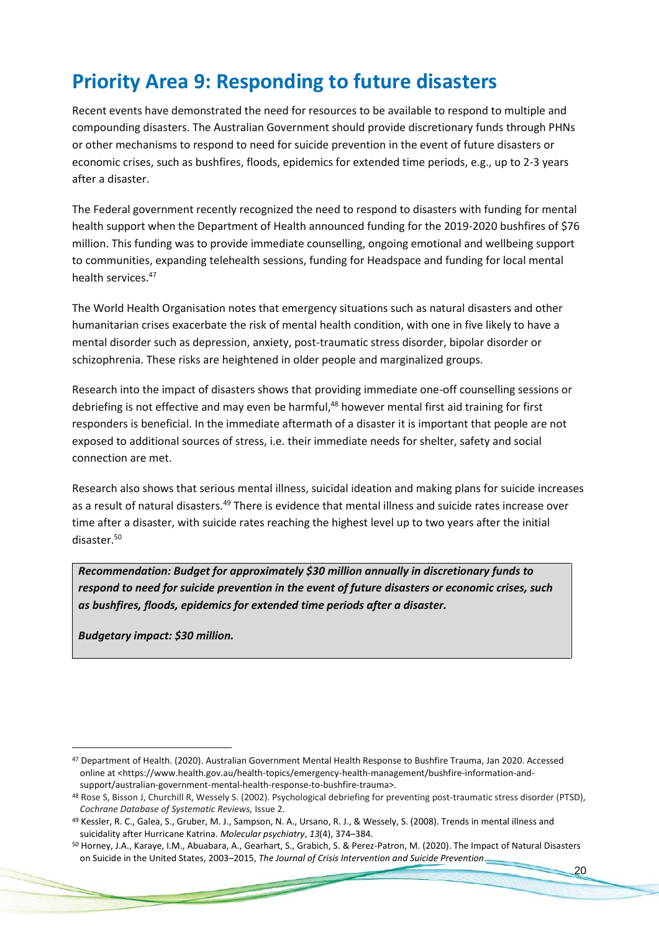### **Priority Area 9: Responding to future disasters**

Recent events have demonstrated the need for resources to be available to respond to multiple and compounding disasters. The Australian Government should provide discretionary funds through PHNs or other mechanisms to respond to need for suicide prevention in the event of future disasters or economic crises, such as bushfires, floods, epidemics for extended time periods, e.g., up to 2-3 years after a disaster.

The Federal government recently recognized the need to respond to disasters with funding for mental health support when the Department of Health announced funding for the 2019-2020 bushfires of \$76 million. This funding was to provide immediate counselling, ongoing emotional and wellbeing support to communities, expanding telehealth sessions, funding for Headspace and funding for local mental health services.<sup>47</sup>

The World Health Organisation notes that emergency situations such as natural disasters and other humanitarian crises exacerbate the risk of mental health condition, with one in five likely to have a mental disorder such as depression, anxiety, post-traumatic stress disorder, bipolar disorder or schizophrenia. These risks are heightened in older people and marginalized groups.

Research into the impact of disasters shows that providing immediate one-off counselling sessions or debriefing is not effective and may even be harmful,<sup>48</sup> however mental first aid training for first responders is beneficial. In the immediate aftermath of a disaster it is important that people are not exposed to additional sources of stress, i.e. their immediate needs for shelter, safety and social connection are met.

Research also shows that serious mental illness, suicidal ideation and making plans for suicide increases as a result of natural disasters.<sup>49</sup> There is evidence that mental illness and suicide rates increase over time after a disaster, with suicide rates reaching the highest level up to two years after the initial disaster.<sup>50</sup>

*Recommendation: Budget for approximately \$30 million annually in discretionary funds to respond to need for suicide prevention in the event of future disasters or economic crises, such as bushfires, floods, epidemics for extended time periods after a disaster.*

*Budgetary impact: \$30 million.* 

<sup>47</sup> Department of Health. (2020). Australian Government Mental Health Response to Bushfire Trauma, Jan 2020. Accessed online at <https://www.health.gov.au/health-topics/emergency-health-management/bushfire-information-andsupport/australian-government-mental-health-response-to-bushfire-trauma>.

<sup>48</sup> Rose S, Bisson J, Churchill R, Wessely S. (2002). Psychological debriefing for preventing post-traumatic stress disorder (PTSD), *Cochrane Database of Systematic Reviews,* Issue 2.

<sup>49</sup> Kessler, R. C., Galea, S., Gruber, M. J., Sampson, N. A., Ursano, R. J., & Wessely, S. (2008). Trends in mental illness and suicidality after Hurricane Katrina. *Molecular psychiatry*, *13*(4), 374–384.

<sup>50</sup> Horney, J.A., Karaye, I.M., Abuabara, A., Gearhart, S., Grabich, S. & Perez-Patron, M. (2020). The Impact of Natural Disasters on Suicide in the United States, 2003–2015, *The Journal of Crisis Intervention and Suicide Prevention*.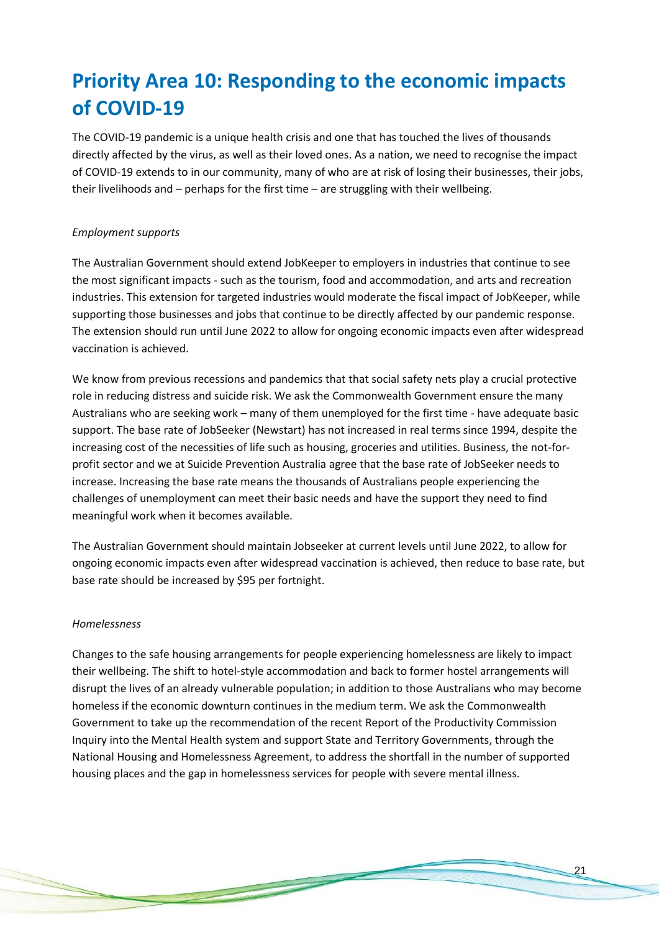## **Priority Area 10: Responding to the economic impacts of COVID-19**

The COVID-19 pandemic is a unique health crisis and one that has touched the lives of thousands directly affected by the virus, as well as their loved ones. As a nation, we need to recognise the impact of COVID-19 extends to in our community, many of who are at risk of losing their businesses, their jobs, their livelihoods and – perhaps for the first time – are struggling with their wellbeing.

#### *Employment supports*

The Australian Government should extend JobKeeper to employers in industries that continue to see the most significant impacts - such as the tourism, food and accommodation, and arts and recreation industries. This extension for targeted industries would moderate the fiscal impact of JobKeeper, while supporting those businesses and jobs that continue to be directly affected by our pandemic response. The extension should run until June 2022 to allow for ongoing economic impacts even after widespread vaccination is achieved.

We know from previous recessions and pandemics that that social safety nets play a crucial protective role in reducing distress and suicide risk. We ask the Commonwealth Government ensure the many Australians who are seeking work – many of them unemployed for the first time - have adequate basic support. The base rate of JobSeeker (Newstart) has not increased in real terms since 1994, despite the increasing cost of the necessities of life such as housing, groceries and utilities. Business, the not-forprofit sector and we at Suicide Prevention Australia agree that the base rate of JobSeeker needs to increase. Increasing the base rate means the thousands of Australians people experiencing the challenges of unemployment can meet their basic needs and have the support they need to find meaningful work when it becomes available.

The Australian Government should maintain Jobseeker at current levels until June 2022, to allow for ongoing economic impacts even after widespread vaccination is achieved, then reduce to base rate, but base rate should be increased by \$95 per fortnight.

#### *Homelessness*

Changes to the safe housing arrangements for people experiencing homelessness are likely to impact their wellbeing. The shift to hotel-style accommodation and back to former hostel arrangements will disrupt the lives of an already vulnerable population; in addition to those Australians who may become homeless if the economic downturn continues in the medium term. We ask the Commonwealth Government to take up the recommendation of the recent Report of the Productivity Commission Inquiry into the Mental Health system and support State and Territory Governments, through the National Housing and Homelessness Agreement, to address the shortfall in the number of supported housing places and the gap in homelessness services for people with severe mental illness.